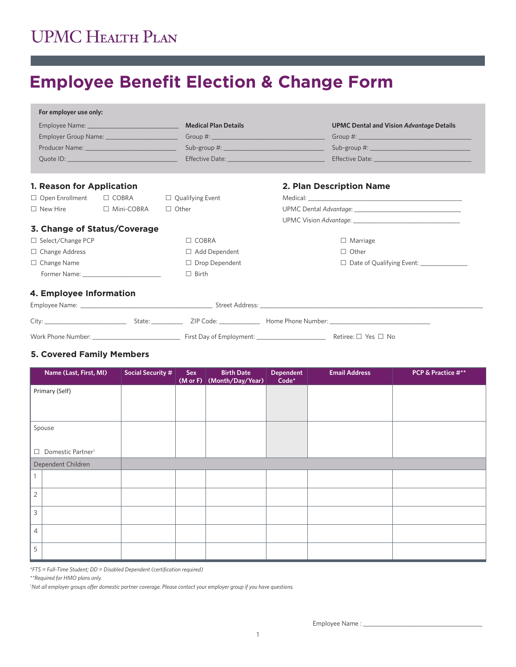# **UPMC HEALTH PLAN**

# **Employee Benefit Election & Change Form**

| For employer use only:              |                                                         |                             |                                                 |
|-------------------------------------|---------------------------------------------------------|-----------------------------|-------------------------------------------------|
|                                     | Employee Name: ________________________________         | <b>Medical Plan Details</b> | <b>UPMC Dental and Vision Advantage Details</b> |
|                                     | Employer Group Name: _______________________            |                             |                                                 |
|                                     | Producer Name: <u>_________________________________</u> |                             |                                                 |
|                                     |                                                         |                             |                                                 |
| 1. Reason for Application           |                                                         |                             | 2. Plan Description Name                        |
| $\Box$ Open Enrollment $\Box$ COBRA |                                                         | $\Box$ Qualifying Event     |                                                 |
| $\Box$ New Hire $\Box$ Mini-COBRA   |                                                         | $\Box$ Other                |                                                 |
|                                     |                                                         |                             |                                                 |
| 3. Change of Status/Coverage        |                                                         |                             |                                                 |
| □ Select/Change PCP                 |                                                         | $\Box$ COBRA                | $\Box$ Marriage                                 |
| $\Box$ Change Address               |                                                         | $\Box$ Add Dependent        | $\Box$ Other                                    |
| $\Box$ Change Name                  |                                                         | $\Box$ Drop Dependent       | □ Date of Qualifying Event: _______________     |
|                                     |                                                         | $\Box$ Birth                |                                                 |
| 4. Employee Information             |                                                         |                             |                                                 |
|                                     |                                                         |                             |                                                 |
|                                     |                                                         |                             |                                                 |
|                                     |                                                         |                             |                                                 |

# **5. Covered Family Members**

| Name (Last, First, MI)                  | <b>Social Security #</b> | <b>Sex</b><br>(M or F) | <b>Birth Date</b><br>(Month/Day/Year) | <b>Dependent</b><br>$Code*$ | <b>Email Address</b> | PCP & Practice #** |
|-----------------------------------------|--------------------------|------------------------|---------------------------------------|-----------------------------|----------------------|--------------------|
| Primary (Self)                          |                          |                        |                                       |                             |                      |                    |
|                                         |                          |                        |                                       |                             |                      |                    |
| Spouse                                  |                          |                        |                                       |                             |                      |                    |
| Domestic Partner <sup>†</sup><br>$\Box$ |                          |                        |                                       |                             |                      |                    |
| Dependent Children                      |                          |                        |                                       |                             |                      |                    |
|                                         |                          |                        |                                       |                             |                      |                    |
| $\overline{2}$                          |                          |                        |                                       |                             |                      |                    |
| 3                                       |                          |                        |                                       |                             |                      |                    |
| $\overline{4}$                          |                          |                        |                                       |                             |                      |                    |
| 5                                       |                          |                        |                                       |                             |                      |                    |

*\*FTS = Full-Time Student; DD = Disabled Dependent (certification required)* 

*\*\*Required for HMO plans only.*

† *Not all employer groups offer domestic partner coverage. Please contact your employer group if you have questions.*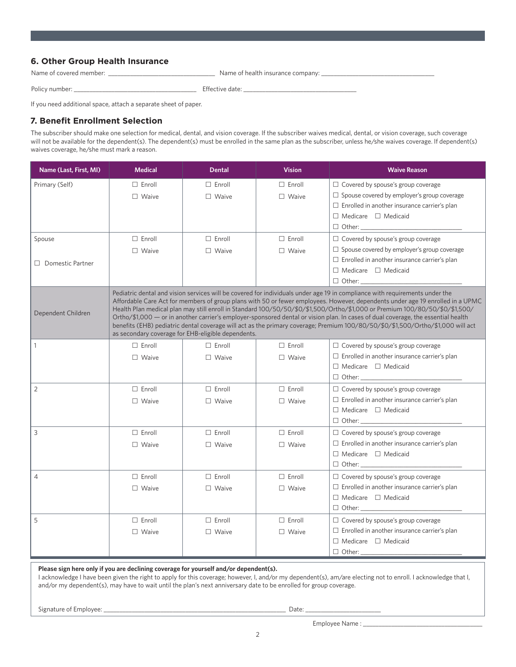# **6. Other Group Health Insurance**

Name of covered member: \_\_\_\_\_\_\_\_\_\_\_\_\_\_\_\_\_\_\_\_\_\_\_\_\_\_\_\_\_\_\_\_\_\_ Name of health insurance company: \_\_\_\_\_\_\_\_\_\_\_\_\_\_\_\_\_\_\_\_\_\_\_\_\_\_\_\_\_\_\_\_\_\_\_\_

Policy number: \_\_\_\_\_\_\_\_\_\_\_\_\_\_\_\_\_\_\_\_\_\_\_\_\_\_\_\_\_\_\_\_\_\_\_\_\_\_\_ Effective date: \_\_\_\_\_\_\_\_\_\_\_\_\_\_\_\_\_\_\_\_\_\_\_\_\_\_\_\_\_\_\_\_\_\_\_\_

If you need additional space, attach a separate sheet of paper.

# **7. Benefit Enrollment Selection**

The subscriber should make one selection for medical, dental, and vision coverage. If the subscriber waives medical, dental, or vision coverage, such coverage will not be available for the dependent(s). The dependent(s) must be enrolled in the same plan as the subscriber, unless he/she waives coverage. If dependent(s) waives coverage, he/she must mark a reason.

| Name (Last, First, MI)  | <b>Medical</b>                                                                                                                                                                                                                                                                                                                                                                                                                                                                                                                                                                                                                                                                                                             | <b>Dental</b> | <b>Vision</b> | <b>Waive Reason</b>                                                                    |  |  |
|-------------------------|----------------------------------------------------------------------------------------------------------------------------------------------------------------------------------------------------------------------------------------------------------------------------------------------------------------------------------------------------------------------------------------------------------------------------------------------------------------------------------------------------------------------------------------------------------------------------------------------------------------------------------------------------------------------------------------------------------------------------|---------------|---------------|----------------------------------------------------------------------------------------|--|--|
| Primary (Self)          | $\Box$ Enroll                                                                                                                                                                                                                                                                                                                                                                                                                                                                                                                                                                                                                                                                                                              | $\Box$ Enroll | $\Box$ Enroll | $\Box$ Covered by spouse's group coverage                                              |  |  |
|                         | $\Box$ Waive                                                                                                                                                                                                                                                                                                                                                                                                                                                                                                                                                                                                                                                                                                               | $\Box$ Waive  | $\Box$ Waive  | $\Box$ Spouse covered by employer's group coverage                                     |  |  |
|                         |                                                                                                                                                                                                                                                                                                                                                                                                                                                                                                                                                                                                                                                                                                                            |               |               | $\Box$ Enrolled in another insurance carrier's plan<br>$\Box$ Medicare $\Box$ Medicaid |  |  |
|                         |                                                                                                                                                                                                                                                                                                                                                                                                                                                                                                                                                                                                                                                                                                                            |               |               |                                                                                        |  |  |
| Spouse                  | $\Box$ Enroll                                                                                                                                                                                                                                                                                                                                                                                                                                                                                                                                                                                                                                                                                                              | $\Box$ Enroll | $\Box$ Enroll | $\Box$ Covered by spouse's group coverage                                              |  |  |
|                         | $\Box$ Waive                                                                                                                                                                                                                                                                                                                                                                                                                                                                                                                                                                                                                                                                                                               | $\Box$ Waive  | $\Box$ Waive  | $\Box$ Spouse covered by employer's group coverage                                     |  |  |
| $\Box$ Domestic Partner |                                                                                                                                                                                                                                                                                                                                                                                                                                                                                                                                                                                                                                                                                                                            |               |               | $\Box$ Enrolled in another insurance carrier's plan<br>$\Box$ Medicare $\Box$ Medicaid |  |  |
|                         |                                                                                                                                                                                                                                                                                                                                                                                                                                                                                                                                                                                                                                                                                                                            |               |               | $\Box$ Other:                                                                          |  |  |
| Dependent Children      | Pediatric dental and vision services will be covered for individuals under age 19 in compliance with requirements under the<br>Affordable Care Act for members of group plans with 50 or fewer employees. However, dependents under age 19 enrolled in a UPMC<br>Health Plan medical plan may still enroll in Standard 100/50/50/\$0/\$1,500/Ortho/\$1,000 or Premium 100/80/50/\$0/\$1,500/<br>Ortho/\$1,000 — or in another carrier's employer-sponsored dental or vision plan. In cases of dual coverage, the essential health<br>benefits (EHB) pediatric dental coverage will act as the primary coverage; Premium 100/80/50/\$0/\$1/500/Ortho/\$1,000 will act<br>as secondary coverage for EHB-eligible dependents. |               |               |                                                                                        |  |  |
| 1                       | $\Box$ Enroll                                                                                                                                                                                                                                                                                                                                                                                                                                                                                                                                                                                                                                                                                                              | $\Box$ Enroll | $\Box$ Enroll | $\Box$ Covered by spouse's group coverage                                              |  |  |
|                         | $\Box$ Waive                                                                                                                                                                                                                                                                                                                                                                                                                                                                                                                                                                                                                                                                                                               | $\Box$ Waive  | $\Box$ Waive  | $\Box$ Enrolled in another insurance carrier's plan                                    |  |  |
|                         |                                                                                                                                                                                                                                                                                                                                                                                                                                                                                                                                                                                                                                                                                                                            |               |               | $\Box$ Medicare $\Box$ Medicaid                                                        |  |  |
| 2                       | $\Box$ Enroll                                                                                                                                                                                                                                                                                                                                                                                                                                                                                                                                                                                                                                                                                                              | $\Box$ Enroll | $\Box$ Enroll | $\Box$ Covered by spouse's group coverage                                              |  |  |
|                         | $\Box$ Waive                                                                                                                                                                                                                                                                                                                                                                                                                                                                                                                                                                                                                                                                                                               | $\Box$ Waive  | $\Box$ Waive  | $\Box$ Enrolled in another insurance carrier's plan                                    |  |  |
|                         |                                                                                                                                                                                                                                                                                                                                                                                                                                                                                                                                                                                                                                                                                                                            |               |               | $\Box$ Medicare $\Box$ Medicaid                                                        |  |  |
| 3                       | $\Box$ Enroll                                                                                                                                                                                                                                                                                                                                                                                                                                                                                                                                                                                                                                                                                                              | $\Box$ Enroll | $\Box$ Enroll | $\Box$ Other:<br>$\Box$ Covered by spouse's group coverage                             |  |  |
|                         | $\Box$ Waive                                                                                                                                                                                                                                                                                                                                                                                                                                                                                                                                                                                                                                                                                                               | $\Box$ Waive  | $\Box$ Waive  | $\Box$ Enrolled in another insurance carrier's plan                                    |  |  |
|                         |                                                                                                                                                                                                                                                                                                                                                                                                                                                                                                                                                                                                                                                                                                                            |               |               | $\Box$ Medicare $\Box$ Medicaid                                                        |  |  |
|                         |                                                                                                                                                                                                                                                                                                                                                                                                                                                                                                                                                                                                                                                                                                                            |               |               |                                                                                        |  |  |
| $\overline{4}$          | $\Box$ Enroll                                                                                                                                                                                                                                                                                                                                                                                                                                                                                                                                                                                                                                                                                                              | $\Box$ Enroll | $\Box$ Enroll | □ Covered by spouse's group coverage                                                   |  |  |
|                         | $\Box$ Waive                                                                                                                                                                                                                                                                                                                                                                                                                                                                                                                                                                                                                                                                                                               | $\Box$ Waive  | $\Box$ Waive  | $\Box$ Enrolled in another insurance carrier's plan                                    |  |  |
|                         |                                                                                                                                                                                                                                                                                                                                                                                                                                                                                                                                                                                                                                                                                                                            |               |               | $\Box$ Medicare $\Box$ Medicaid                                                        |  |  |
| 5                       | $\Box$ Enroll                                                                                                                                                                                                                                                                                                                                                                                                                                                                                                                                                                                                                                                                                                              | $\Box$ Enroll | $\Box$ Enroll | $\Box$ Covered by spouse's group coverage                                              |  |  |
|                         | $\Box$ Waive                                                                                                                                                                                                                                                                                                                                                                                                                                                                                                                                                                                                                                                                                                               | $\Box$ Waive  | $\Box$ Waive  | $\Box$ Enrolled in another insurance carrier's plan                                    |  |  |
|                         |                                                                                                                                                                                                                                                                                                                                                                                                                                                                                                                                                                                                                                                                                                                            |               |               | $\Box$ Medicare $\Box$ Medicaid                                                        |  |  |
|                         |                                                                                                                                                                                                                                                                                                                                                                                                                                                                                                                                                                                                                                                                                                                            |               |               | $\Box$ Other:                                                                          |  |  |

**Please sign here only if you are declining coverage for yourself and/or dependent(s).** 

I acknowledge I have been given the right to apply for this coverage; however, I, and/or my dependent(s), am/are electing not to enroll. I acknowledge that I, and/or my dependent(s), may have to wait until the plan's next anniversary date to be enrolled for group coverage.

Signature of Employee: \_\_\_\_\_\_\_\_\_\_\_\_\_\_\_\_\_\_\_\_\_\_\_\_\_\_\_\_\_\_\_\_\_\_\_\_\_\_\_\_\_\_\_\_\_\_\_\_\_\_\_\_\_\_\_\_\_\_ Date: \_\_\_\_\_\_\_\_\_\_\_\_\_\_\_\_\_\_\_\_\_\_\_\_

Employee Name:\_\_\_\_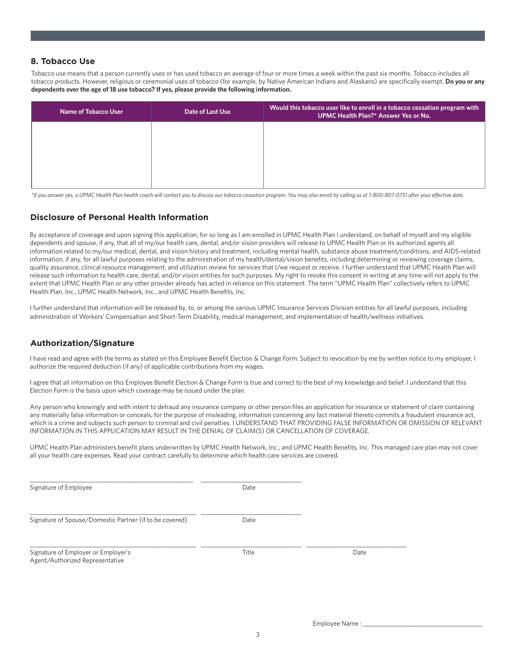### **8. Tobacco Use**

Tobacco use means that a person currently uses or has used tobacco an average of four or more times a week within the past six months. Tobacco includes all tobacco products. However, religious or ceremonial uses of tobacco (for example, by Native American Indians and Alaskans) are specifically exempt. **Do you or any dependents over the age of 18 use tobacco? If yes, please provide the following information.**

| Name of Tobacco User | Date of Last Use | Would this tobacco user like to enroll in a tobacco cessation program with<br>UPMC Health Plan?* Answer Yes or No. |
|----------------------|------------------|--------------------------------------------------------------------------------------------------------------------|
|                      |                  |                                                                                                                    |
|                      |                  |                                                                                                                    |
|                      |                  |                                                                                                                    |
|                      |                  |                                                                                                                    |

*\*If you answer yes, a UPMC Health Plan health coach will contact you to discuss our tobacco cessation program. You may also enroll by calling us at 1-800-807-0751 after your effective date.*

### **Disclosure of Personal Health Information**

By acceptance of coverage and upon signing this application, for so long as I am enrolled in UPMC Health Plan I understand, on behalf of myself and my eligible dependents and spouse, if any, that all of my/our health care, dental, and/or vision providers will release to UPMC Health Plan or its authorized agents all information related to my/our medical, dental, and vision history and treatment, including mental health, substance abuse treatment/conditions, and AIDS-related information, if any, for all lawful purposes relating to the administration of my health/dental/vision benefits, including determining or reviewing coverage claims, quality assurance, clinical resource management, and utilization review for services that I/we request or receive. I further understand that UPMC Health Plan will release such information to health care, dental, and/or vision entities for such purposes. My right to revoke this consent in writing at any time will not apply to the extent that UPMC Health Plan or any other provider already has acted in reliance on this statement. The term "UPMC Health Plan" collectively refers to UPMC Health Plan, Inc., UPMC Health Network, Inc., and UPMC Health Benefits, Inc.

I further understand that information will be released by, to, or among the various UPMC Insurance Services Division entities for all lawful purposes, including administration of Workers' Compensation and Short-Term Disability, medical management, and implementation of health/wellness initiatives.

### **Authorization/Signature**

I have read and agree with the terms as stated on this Employee Benefit Election & Change Form. Subject to revocation by me by written notice to my employer, I authorize the required deduction (if any) of applicable contributions from my wages.

I agree that all information on this Employee Benefit Election & Change Form is true and correct to the best of my knowledge and belief. I understand that this Election Form is the basis upon which coverage may be issued under the plan.

Any person who knowingly and with intent to defraud any insurance company or other person files an application for insurance or statement of claim containing any materially false information or conceals, for the purpose of misleading, information concerning any fact material thereto commits a fraudulent insurance act, which is a crime and subjects such person to criminal and civil penalties. I UNDERSTAND THAT PROVIDING FALSE INFORMATION OR OMISSION OF RELEVANT INFORMATION IN THIS APPLICATION MAY RESULT IN THE DENIAL OF CLAIM(S) OR CANCELLATION OF COVERAGE.

UPMC Health Plan administers benefit plans underwritten by UPMC Health Network, Inc., and UPMC Health Benefits, Inc. This managed care plan may not cover all your health care expenses. Read your contract carefully to determine which health care services are covered.

Signature of Employee Date

\_\_\_\_\_\_\_\_\_\_\_\_\_\_\_\_\_\_\_\_\_\_\_\_\_\_\_\_\_\_\_\_\_\_\_\_\_\_\_\_\_\_\_\_\_\_\_\_\_\_\_\_ \_\_\_\_\_\_\_\_\_\_\_\_\_\_\_\_\_\_\_\_\_\_\_\_\_\_\_\_\_\_\_\_

Signature of Spouse/Domestic Partner (if to be covered) Date

\_\_\_\_\_\_\_\_\_\_\_\_\_\_\_\_\_\_\_\_\_\_\_\_\_\_\_\_\_\_\_\_\_\_\_\_\_\_\_\_\_\_\_\_\_\_\_\_\_\_\_\_\_ \_\_\_\_\_\_\_\_\_\_\_\_\_\_\_\_\_\_\_\_\_\_\_\_\_\_\_\_\_\_\_\_

\_\_\_\_\_\_\_\_\_\_\_\_\_\_\_\_\_\_\_\_\_\_\_\_\_\_\_\_\_\_\_\_\_\_\_\_\_\_\_\_\_\_\_\_\_\_\_\_\_\_\_\_\_ \_\_\_\_\_\_\_\_\_\_\_\_\_\_\_\_\_\_\_\_\_\_\_\_\_\_\_\_\_\_\_\_ \_\_\_\_\_\_\_\_\_\_\_\_\_\_\_\_\_\_\_\_\_\_\_\_\_\_\_\_\_\_\_\_

Signature of Employer or Employer's **Signature of Employer's** Cate Control of Title Cate Date Date Agent/Authorized Representative

Employee Name :